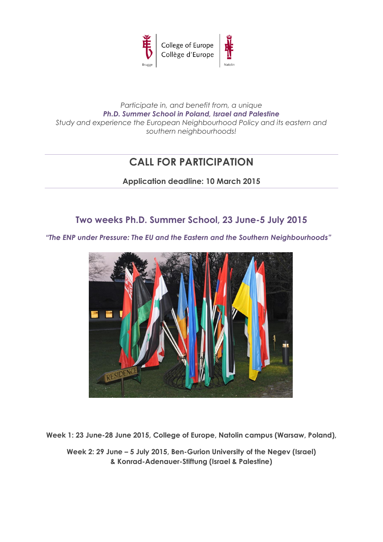

# *Participate in, and benefit from, a unique Ph.D. Summer School in Poland, Israel and Palestine Study and experience the European Neighbourhood Policy and its eastern and southern neighbourhoods!*

# **CALL FOR PARTICIPATION**

**Application deadline: 10 March 2015**

# **Two weeks Ph.D. Summer School, 23 June-5 July 2015**

*"The ENP under Pressure: The EU and the Eastern and the Southern Neighbourhoods"*



**Week 1: 23 June-28 June 2015, College of Europe, Natolin campus (Warsaw, Poland),** 

**Week 2: 29 June – 5 July 2015, Ben-Gurion University of the Negev (Israel) & Konrad-Adenauer-Stiftung (Israel & Palestine)**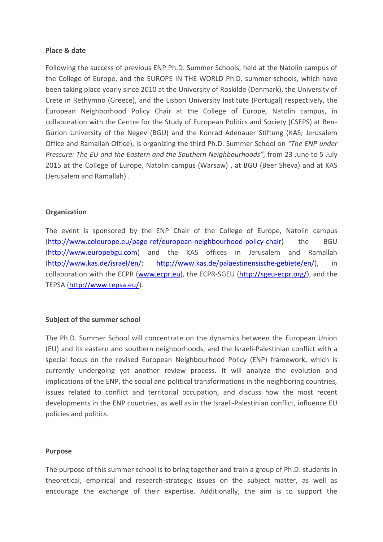#### **Place & date**

Following the success of previous ENP Ph.D. Summer Schools, held at the Natolin campus of the College of Europe, and the EUROPE IN THE WORLD Ph.D. summer schools, which have been taking place yearly since 2010 at the University of Roskilde (Denmark), the University of Crete in Rethymno (Greece), and the Lisbon University Institute (Portugal) respectively, the European Neighborhood Policy Chair at the College of Europe, Natolin campus, in collaboration with the Centre for the Study of European Politics and Society (CSEPS) at Ben-Gurion University of the Negev (BGU) and the Konrad Adenauer Stiftung (KAS; Jerusalem Office and Ramallah Office), is organizing the third Ph.D. Summer School on *"The ENP under Pressure: The EU and the Eastern and the Southern Neighbourhoods",* from 23 June to 5 July 2015 at the College of Europe, Natolin campus (Warsaw) , at BGU (Beer Sheva) and at KAS (Jerusalem and Ramallah) .

#### **Organization**

The event is sponsored by the ENP Chair of the College of Europe, Natolin campus [\(http://www.coleurope.eu/page-ref/european-neighbourhood-policy-chair\)](http://www.coleurope.eu/page-ref/european-neighbourhood-policy-chair) the BGU [\(http://www.europebgu.com\)](http://www.europebgu.com/) and the KAS offices in Jerusalem and Ramallah [\(http://www.kas.de/israel/en/;](http://www.kas.de/israel/en/) [http://www.kas.de/palaestinensische-gebiete/en/\)](http://www.kas.de/palaestinensische-gebiete/en/), in collaboration with the ECPR [\(www.ecpr.eu\)](http://www.ecpr.eu/), the ECPR-SGEU [\(http://sgeu-ecpr.org/\)](http://sgeu-ecpr.org/), and the TEPSA [\(http://www.tepsa.eu/\)](http://www.tepsa.eu/).

#### **Subject of the summer school**

The Ph.D. Summer School will concentrate on the dynamics between the European Union (EU) and its eastern and southern neighborhoods, and the Israeli-Palestinian conflict with a special focus on the revised European Neighbourhood Policy (ENP) framework, which is currently undergoing yet another review process. It will analyze the evolution and implications of the ENP, the social and political transformations in the neighboring countries, issues related to conflict and territorial occupation, and discuss how the most recent developments in the ENP countries, as well as in the Israeli-Palestinian conflict, influence EU policies and politics.

#### **Purpose**

The purpose of this summer school is to bring together and train a group of Ph.D. students in theoretical, empirical and research-strategic issues on the subject matter, as well as encourage the exchange of their expertise. Additionally, the aim is to support the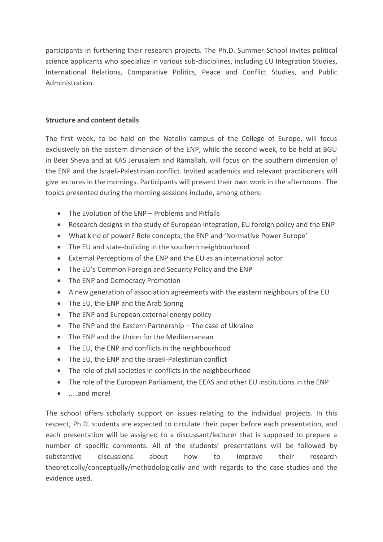participants in furthering their research projects. The Ph.D. Summer School invites political science applicants who specialize in various sub-disciplines, including EU Integration Studies, International Relations, Comparative Politics, Peace and Conflict Studies, and Public Administration.

## **Structure and content details**

The first week, to be held on the Natolin campus of the College of Europe, will focus exclusively on the eastern dimension of the ENP, while the second week, to be held at BGU in Beer Sheva and at KAS Jerusalem and Ramallah, will focus on the southern dimension of the ENP and the Israeli-Palestinian conflict. Invited academics and relevant practitioners will give lectures in the mornings. Participants will present their own work in the afternoons. The topics presented during the morning sessions include, among others:

- The Evolution of the ENP Problems and Pitfalls
- Research designs in the study of European integration, EU foreign policy and the ENP
- What kind of power? Role concepts, the ENP and 'Normative Power Europe'
- The EU and state-building in the southern neighbourhood
- External Perceptions of the ENP and the EU as an international actor
- The EU's Common Foreign and Security Policy and the ENP
- The ENP and Democracy Promotion
- A new generation of association agreements with the eastern neighbours of the EU
- The EU, the ENP and the Arab Spring
- The ENP and European external energy policy
- The ENP and the Eastern Partnership The case of Ukraine
- The ENP and the Union for the Mediterranean
- The EU, the ENP and conflicts in the neighbourhood
- The EU, the ENP and the Israeli-Palestinian conflict
- The role of civil societies in conflicts in the neighbourhood
- The role of the European Parliament, the EEAS and other EU institutions in the ENP
- …..and more!

The school offers scholarly support on issues relating to the individual projects. In this respect, Ph.D. students are expected to circulate their paper before each presentation, and each presentation will be assigned to a discussant/lecturer that is supposed to prepare a number of specific comments. All of the students' presentations will be followed by substantive discussions about how to improve their research theoretically/conceptually/methodologically and with regards to the case studies and the evidence used.